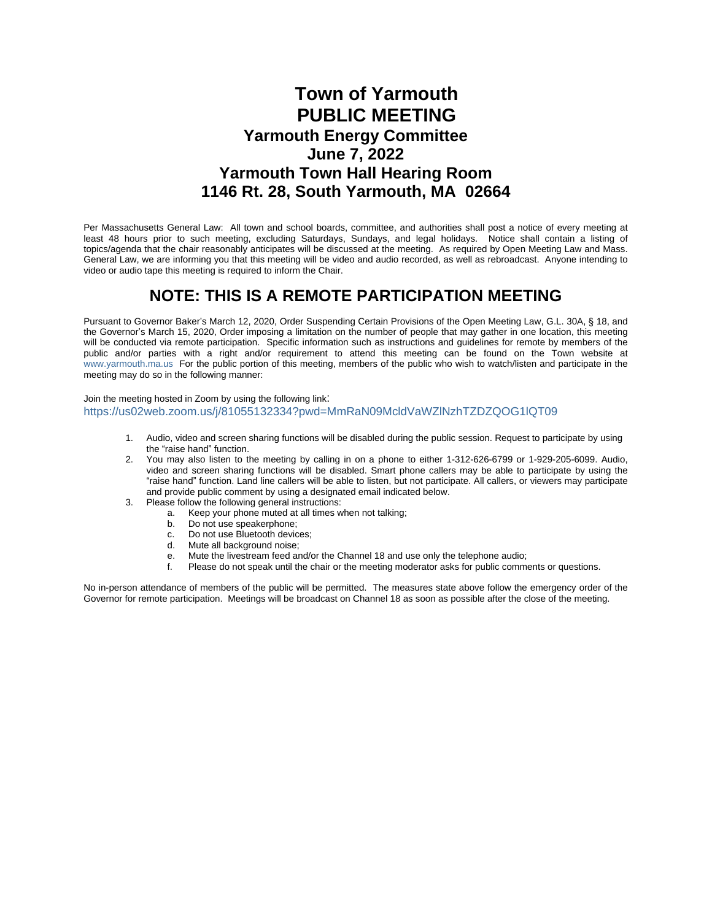## **Town of Yarmouth PUBLIC MEETING Yarmouth Energy Committee June 7, 2022 Yarmouth Town Hall Hearing Room 1146 Rt. 28, South Yarmouth, MA 02664**

Per Massachusetts General Law: All town and school boards, committee, and authorities shall post a notice of every meeting at least 48 hours prior to such meeting, excluding Saturdays, Sundays, and legal holidays. Notice shall contain a listing of topics/agenda that the chair reasonably anticipates will be discussed at the meeting. As required by Open Meeting Law and Mass. General Law, we are informing you that this meeting will be video and audio recorded, as well as rebroadcast. Anyone intending to video or audio tape this meeting is required to inform the Chair.

### **NOTE: THIS IS A REMOTE PARTICIPATION MEETING**

Pursuant to Governor Baker's March 12, 2020, Order Suspending Certain Provisions of the Open Meeting Law, G.L. 30A, § 18, and the Governor's March 15, 2020, Order imposing a limitation on the number of people that may gather in one location, this meeting will be conducted via remote participation. Specific information such as instructions and guidelines for remote by members of the public and/or parties with a right and/or requirement to attend this meeting can be found on the Town website at [www.yarmouth.ma.us](http://www.yarmouth.ma.us) For the public portion of this meeting, members of the public who wish to watch/listen and participate in the meeting may do so in the following manner:

Join the meeting hosted in Zoom by using the following link: <https://us02web.zoom.us/j/81055132334?pwd=MmRaN09McldVaWZlNzhTZDZQOG1lQT09>

- 1. Audio, video and screen sharing functions will be disabled during the public session. Request to participate by using the "raise hand" function.
- 2. You may also listen to the meeting by calling in on a phone to either 1-312-626-6799 or 1-929-205-6099. Audio, video and screen sharing functions will be disabled. Smart phone callers may be able to participate by using the "raise hand" function. Land line callers will be able to listen, but not participate. All callers, or viewers may participate and provide public comment by using a designated email indicated below.
- 3. Please follow the following general instructions:
	- a. Keep your phone muted at all times when not talking;
		-
		- b. Do not use speakerphone;<br>c. Do not use Bluetooth device<br>d. Mute all background noise; Do not use Bluetooth devices:
		- Mute all background noise;
		- e. Mute the livestream feed and/or the Channel 18 and use only the telephone audio;<br>f Please do not speak until the chair or the meeting moderator asks for public comme
		- Please do not speak until the chair or the meeting moderator asks for public comments or questions.

No in-person attendance of members of the public will be permitted. The measures state above follow the emergency order of the Governor for remote participation. Meetings will be broadcast on Channel 18 as soon as possible after the close of the meeting.